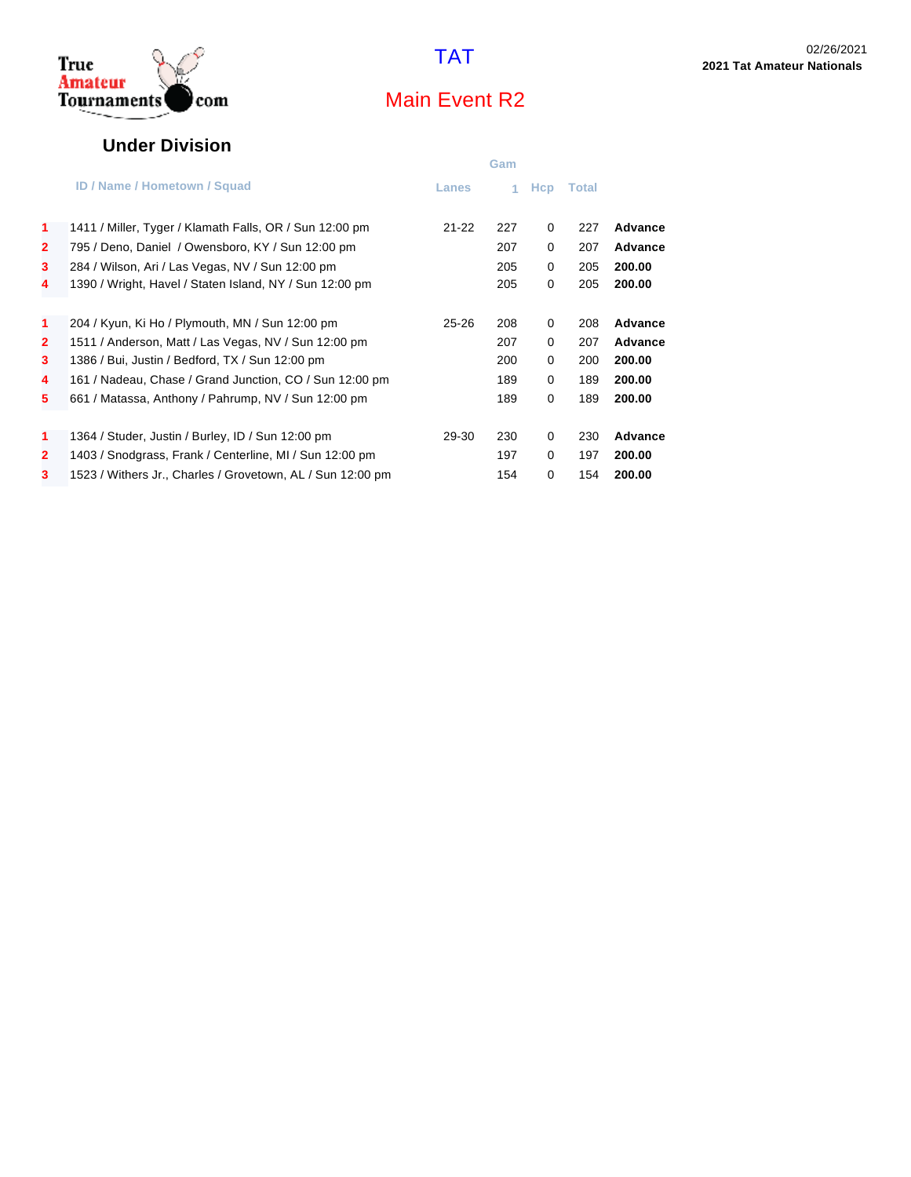

#### **Under Division**

|                |                                                            |              | Gam |             |       |                |
|----------------|------------------------------------------------------------|--------------|-----|-------------|-------|----------------|
|                | <b>ID / Name / Hometown / Squad</b>                        | <b>Lanes</b> |     | <b>H</b> cp | Total |                |
| $\mathbf{1}$   | 1411 / Miller, Tyger / Klamath Falls, OR / Sun 12:00 pm    | $21 - 22$    | 227 | 0           | 227   | Advance        |
| $\overline{2}$ | 795 / Deno, Daniel / Owensboro, KY / Sun 12:00 pm          |              | 207 | 0           | 207   | <b>Advance</b> |
| 3              | 284 / Wilson, Ari / Las Vegas, NV / Sun 12:00 pm           |              | 205 | 0           | 205   | 200.00         |
| 4              | 1390 / Wright, Havel / Staten Island, NY / Sun 12:00 pm    |              | 205 | 0           | 205   | 200.00         |
|                |                                                            |              |     |             |       |                |
| $\mathbf{1}$   | 204 / Kyun, Ki Ho / Plymouth, MN / Sun 12:00 pm            | $25 - 26$    | 208 | 0           | 208   | Advance        |
| $\mathbf{2}$   | 1511 / Anderson, Matt / Las Vegas, NV / Sun 12:00 pm       |              | 207 | 0           | 207   | <b>Advance</b> |
| 3              | 1386 / Bui, Justin / Bedford, TX / Sun 12:00 pm            |              | 200 | 0           | 200   | 200.00         |
| 4              | 161 / Nadeau, Chase / Grand Junction, CO / Sun 12:00 pm    |              | 189 | 0           | 189   | 200.00         |
| 5              | 661 / Matassa, Anthony / Pahrump, NV / Sun 12:00 pm        |              | 189 | 0           | 189   | 200.00         |
|                |                                                            |              |     |             |       |                |
| $\mathbf{1}$   | 1364 / Studer, Justin / Burley, ID / Sun 12:00 pm          | 29-30        | 230 | 0           | 230   | Advance        |
| $\mathbf{2}$   | 1403 / Snodgrass, Frank / Centerline, MI / Sun 12:00 pm    |              | 197 | 0           | 197   | 200.00         |
| 3              | 1523 / Withers Jr., Charles / Grovetown, AL / Sun 12:00 pm |              | 154 | 0           | 154   | 200.00         |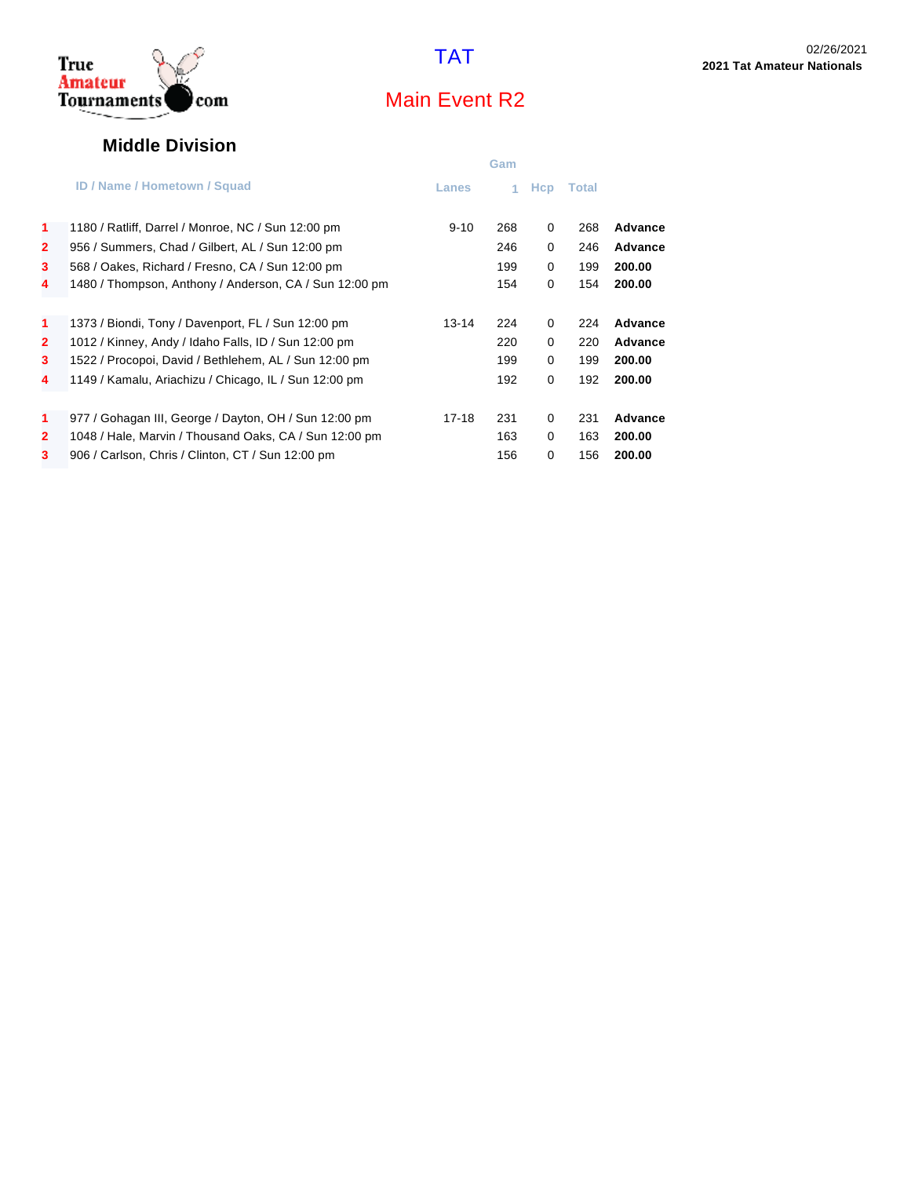

#### **Middle Division**

|                |                                                        |              | Gam |            |       |         |
|----------------|--------------------------------------------------------|--------------|-----|------------|-------|---------|
|                | <b>ID / Name / Hometown / Squad</b>                    | <b>Lanes</b> | 1.  | <b>Hcp</b> | Total |         |
| 1              | 1180 / Ratliff, Darrel / Monroe, NC / Sun 12:00 pm     | $9 - 10$     | 268 | 0          | 268   | Advance |
| $\overline{2}$ | 956 / Summers, Chad / Gilbert, AL / Sun 12:00 pm       |              | 246 | 0          | 246   | Advance |
| 3              | 568 / Oakes, Richard / Fresno, CA / Sun 12:00 pm       |              | 199 | $\Omega$   | 199   | 200.00  |
| 4              | 1480 / Thompson, Anthony / Anderson, CA / Sun 12:00 pm |              | 154 | 0          | 154   | 200.00  |
|                |                                                        |              |     |            |       |         |
| $\mathbf{1}$   | 1373 / Biondi, Tony / Davenport, FL / Sun 12:00 pm     | 13-14        | 224 | $\Omega$   | 224   | Advance |
| $\mathbf{2}$   | 1012 / Kinney, Andy / Idaho Falls, ID / Sun 12:00 pm   |              | 220 | 0          | 220   | Advance |
| 3              | 1522 / Procopoi, David / Bethlehem, AL / Sun 12:00 pm  |              | 199 | 0          | 199   | 200.00  |
| 4              | 1149 / Kamalu, Ariachizu / Chicago, IL / Sun 12:00 pm  |              | 192 | $\Omega$   | 192   | 200.00  |
|                |                                                        |              |     |            |       |         |
| 1              | 977 / Gohagan III, George / Dayton, OH / Sun 12:00 pm  | 17-18        | 231 | $\Omega$   | 231   | Advance |
| $\mathbf{2}$   | 1048 / Hale, Marvin / Thousand Oaks, CA / Sun 12:00 pm |              | 163 | 0          | 163   | 200.00  |
| 3              | 906 / Carlson, Chris / Clinton, CT / Sun 12:00 pm      |              | 156 | 0          | 156   | 200.00  |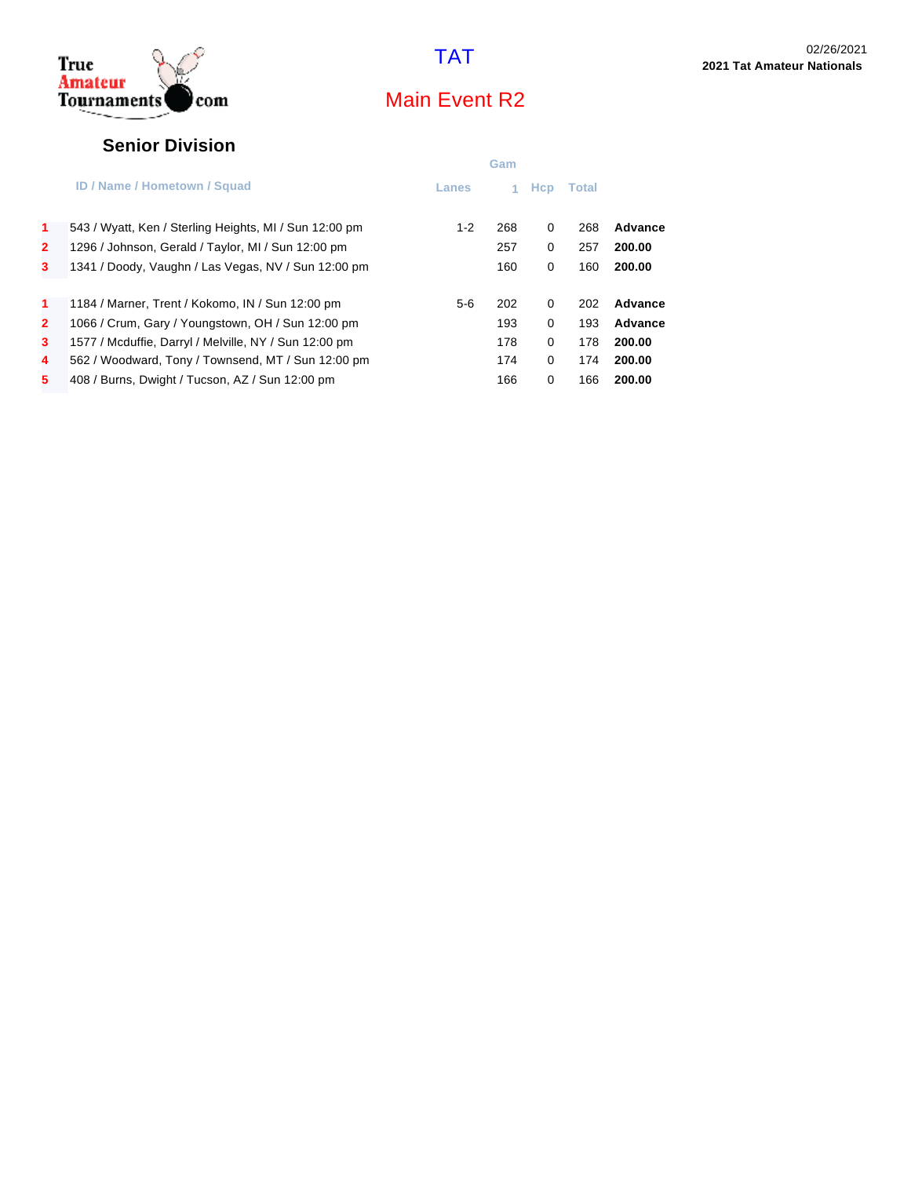

#### **Senior Division**

|                |                                                        |         | Gam |          |              |         |
|----------------|--------------------------------------------------------|---------|-----|----------|--------------|---------|
|                | <b>ID / Name / Hometown / Squad</b>                    | Lanes   |     | Hcp      | <b>Total</b> |         |
| 1              | 543 / Wyatt, Ken / Sterling Heights, MI / Sun 12:00 pm | $1 - 2$ | 268 | 0        | 268          | Advance |
| $\overline{2}$ | 1296 / Johnson, Gerald / Taylor, MI / Sun 12:00 pm     |         | 257 | 0        | 257          | 200.00  |
| 3              | 1341 / Doody, Vaughn / Las Vegas, NV / Sun 12:00 pm    |         | 160 | 0        | 160          | 200.00  |
| 1              | 1184 / Marner, Trent / Kokomo, IN / Sun 12:00 pm       | $5-6$   | 202 | 0        | 202          | Advance |
| $\mathbf{2}$   | 1066 / Crum, Gary / Youngstown, OH / Sun 12:00 pm      |         | 193 | $\Omega$ | 193          | Advance |
| 3              | 1577 / Mcduffie, Darryl / Melville, NY / Sun 12:00 pm  |         | 178 | 0        | 178          | 200.00  |
| 4              | 562 / Woodward, Tony / Townsend, MT / Sun 12:00 pm     |         | 174 | 0        | 174          | 200.00  |
| 5              | 408 / Burns, Dwight / Tucson, AZ / Sun 12:00 pm        |         | 166 | 0        | 166          | 200.00  |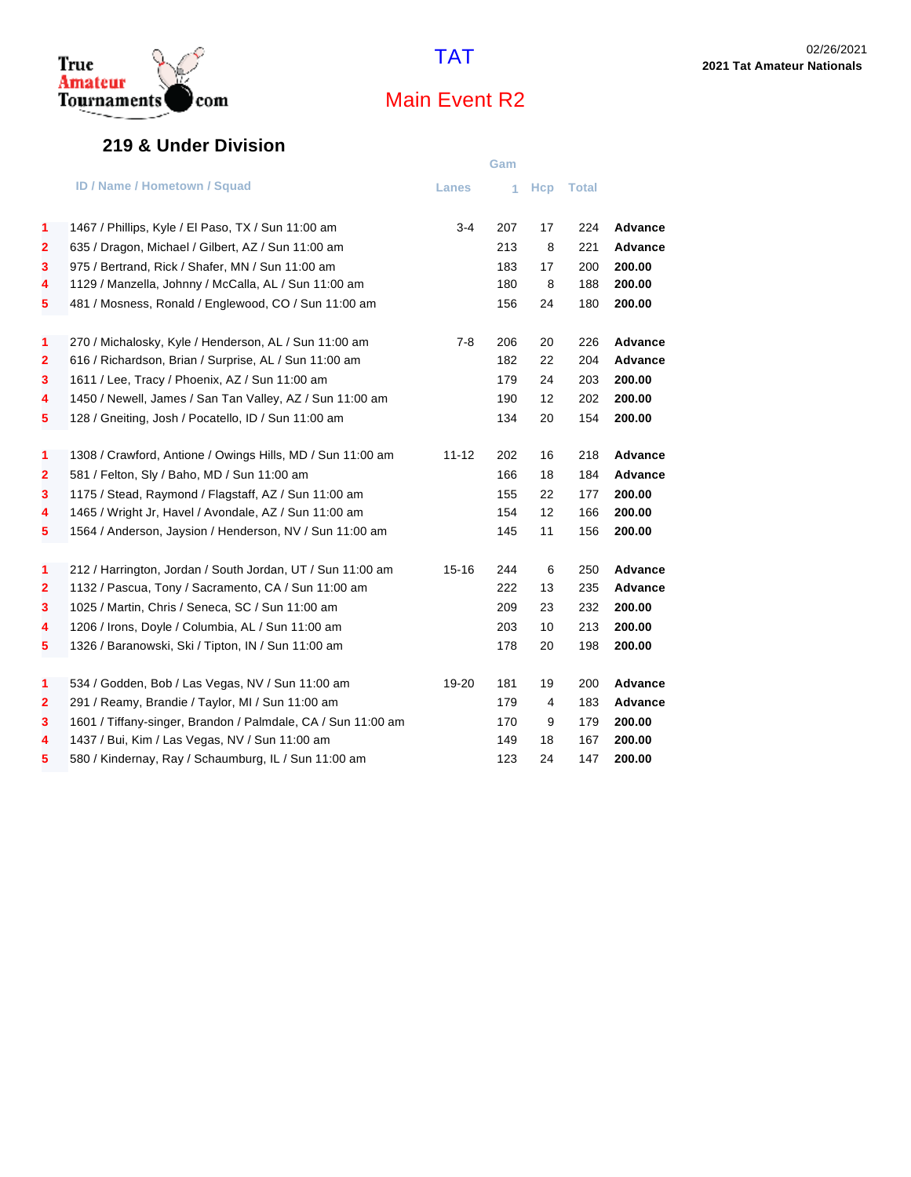#### **219 & Under Division**

|                         |                                                              |              | Gam |     |              |                |
|-------------------------|--------------------------------------------------------------|--------------|-----|-----|--------------|----------------|
|                         | <b>ID / Name / Hometown / Squad</b>                          | <b>Lanes</b> | 1   | Hcp | <b>Total</b> |                |
| 1                       | 1467 / Phillips, Kyle / El Paso, TX / Sun 11:00 am           | $3-4$        | 207 | 17  | 224          | Advance        |
| $\mathbf{2}$            | 635 / Dragon, Michael / Gilbert, AZ / Sun 11:00 am           |              | 213 | 8   | 221          | Advance        |
| 3                       | 975 / Bertrand, Rick / Shafer, MN / Sun 11:00 am             |              | 183 | 17  | 200          | 200.00         |
| 4                       | 1129 / Manzella, Johnny / McCalla, AL / Sun 11:00 am         |              | 180 | 8   | 188          | 200.00         |
| 5                       | 481 / Mosness, Ronald / Englewood, CO / Sun 11:00 am         |              | 156 | 24  | 180          | 200.00         |
| 1                       | 270 / Michalosky, Kyle / Henderson, AL / Sun 11:00 am        | $7-8$        | 206 | 20  | 226          | <b>Advance</b> |
| 2                       | 616 / Richardson, Brian / Surprise, AL / Sun 11:00 am        |              | 182 | 22  | 204          | Advance        |
| 3                       | 1611 / Lee, Tracy / Phoenix, AZ / Sun 11:00 am               |              | 179 | 24  | 203          | 200.00         |
| 4                       | 1450 / Newell, James / San Tan Valley, AZ / Sun 11:00 am     |              | 190 | 12  | 202          | 200.00         |
| 5                       | 128 / Gneiting, Josh / Pocatello, ID / Sun 11:00 am          |              | 134 | 20  | 154          | 200.00         |
| 1                       | 1308 / Crawford, Antione / Owings Hills, MD / Sun 11:00 am   | $11 - 12$    | 202 | 16  | 218          | Advance        |
| $\overline{\mathbf{2}}$ | 581 / Felton, Sly / Baho, MD / Sun 11:00 am                  |              | 166 | 18  | 184          | Advance        |
| 3                       | 1175 / Stead, Raymond / Flagstaff, AZ / Sun 11:00 am         |              | 155 | 22  | 177          | 200.00         |
| 4                       | 1465 / Wright Jr, Havel / Avondale, AZ / Sun 11:00 am        |              | 154 | 12  | 166          | 200.00         |
| 5                       | 1564 / Anderson, Jaysion / Henderson, NV / Sun 11:00 am      |              | 145 | 11  | 156          | 200.00         |
| 1                       | 212 / Harrington, Jordan / South Jordan, UT / Sun 11:00 am   | $15 - 16$    | 244 | 6   | 250          | Advance        |
| $\overline{\mathbf{2}}$ | 1132 / Pascua, Tony / Sacramento, CA / Sun 11:00 am          |              | 222 | 13  | 235          | Advance        |
| 3                       | 1025 / Martin, Chris / Seneca, SC / Sun 11:00 am             |              | 209 | 23  | 232          | 200.00         |
| 4                       | 1206 / Irons, Doyle / Columbia, AL / Sun 11:00 am            |              | 203 | 10  | 213          | 200.00         |
| 5                       | 1326 / Baranowski, Ski / Tipton, IN / Sun 11:00 am           |              | 178 | 20  | 198          | 200.00         |
| 1                       | 534 / Godden, Bob / Las Vegas, NV / Sun 11:00 am             | 19-20        | 181 | 19  | 200          | Advance        |
| $\mathbf{2}$            | 291 / Reamy, Brandie / Taylor, MI / Sun 11:00 am             |              | 179 | 4   | 183          | Advance        |
| 3                       | 1601 / Tiffany-singer, Brandon / Palmdale, CA / Sun 11:00 am |              | 170 | 9   | 179          | 200.00         |
| 4                       | 1437 / Bui, Kim / Las Vegas, NV / Sun 11:00 am               |              | 149 | 18  | 167          | 200.00         |
| 5                       | 580 / Kindernay, Ray / Schaumburg, IL / Sun 11:00 am         |              | 123 | 24  | 147          | 200.00         |